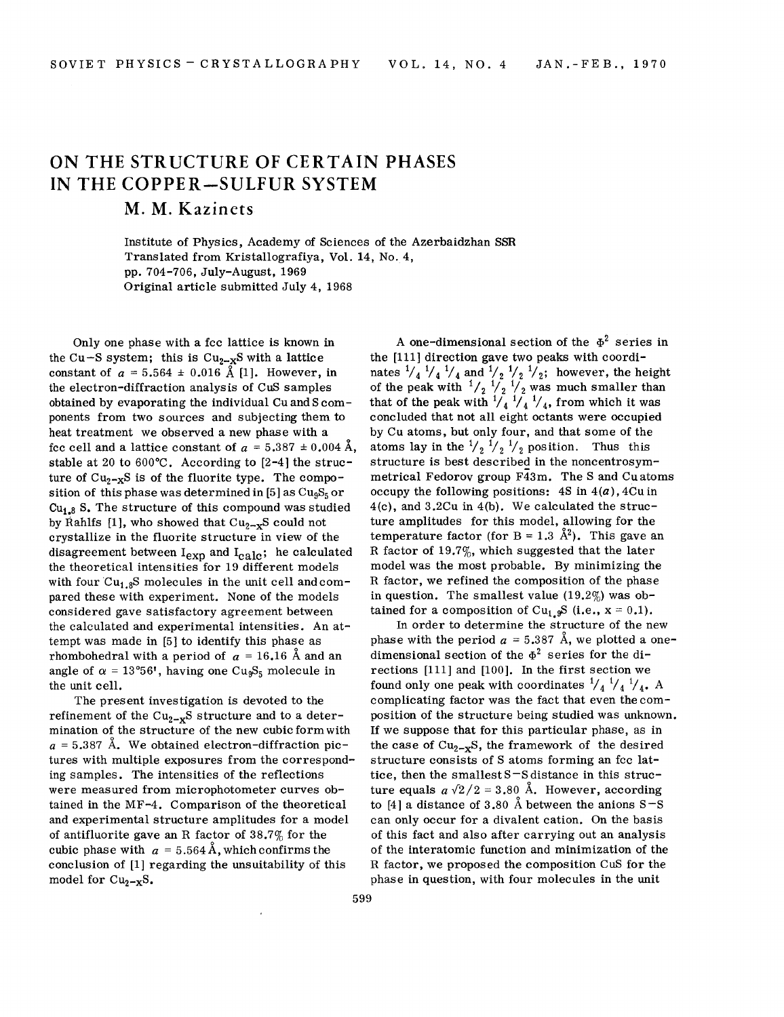## **ON THE STRUCTURE OF CERTAIN PHASES IN THE COPPER-SULFUR SYSTEM**

## M. M. **Kazinets**

Institute of Physics, Academy of Sciences of the Azerbaidzhan SSR Translated from Kristallografiya, Vol. 14, No.4, pp. 704-706, July-August, 1969 Original article submitted July 4, 1968

Only one phase with a fcc lattice is known in the Cu-S system; this is  $Cu_{2-x}S$  with a lattice constant of  $a = 5.564 \pm 0.016$  Å [1]. However, in the electron-diffraction analysis of CUS samples obtained by evaporating the individual Cu and S components from two sources and subjecting them to heat treatment we observed a new phase with a fee cell and a lattice constant of  $a = 5.387 \pm 0.004$  Å, stable at 20 to 600°C. According to [2-4] the structure of  $Cu_{2-x}S$  is of the fluorite type. The composition of this phase was determined in [5] as  $Cu<sub>9</sub>S<sub>5</sub>$  or  $Cu<sub>1.8</sub>$  S. The structure of this compound was studied by Rahlfs [1], who showed that  $Cu_{2-x}S$  could not crystallize in the fluorite structure in view of the disagreement between  $I_{exp}$  and  $I_{calc}$ ; he calculated the theoretical intensities for 19 different models with four  $Cu_{1.8}S$  molecules in the unit cell and compared these with experiment. None of the models considered gave satisfactory agreement between the calculated and experimental intensities. An attempt was made in [5] to identify this phase as rhombohedral with a period of  $a = 16.16$  Å and an angle of  $\alpha = 13^{\circ}56'$ , having one Cu<sub>9</sub>S<sub>5</sub> molecule in the unit cell.

The present investigation is devoted to the refinement of the  $Cu_{2-x}S$  structure and to a determination of the structure of the new cubic form with  $a = 5.387$  Å. We obtained electron-diffraction pictures with multiple exposures from the corresponding samples. The intensities of the reflections were measured from microphotometer curves obtained in the MF-4. Comparison of the theoretical and experimental structure amplitudes for a model of antifluorite gave an R factor of 38.7% for the cubic phase with  $a = 5.564 \text{ Å}$ , which confirms the conclusion of [1] regarding the unsuitability of this model for  $Cu_{2-x}S$ .

A one-dimensional section of the  $\Phi^2$  series in the [111] direction gave two peaks with coordinates  $\frac{1}{4}$   $\frac{1}{4}$   $\frac{1}{4}$   $\frac{1}{4}$  and  $\frac{1}{2}$   $\frac{1}{2}$   $\frac{1}{2}$ ; however, the height of the peak with  $\frac{1}{2}$   $\frac{1}{2}$   $\frac{1}{2}$  was much smaller than that of the peak with  $\frac{1}{4}$   $\frac{1}{4}$   $\frac{1}{4}$ , from which it was concluded that not all eight octants were occupied by Cu atoms, but only four, and that some of the atoms lay in the  $\frac{1}{2}$   $\frac{1}{2}$   $\frac{1}{2}$  position. Thus this structure is best described in the noncentrosymmetrical Fedorov group F43m. The S and Cu atoms occupy the following positions: 4S in *4(a),* 4Cu in 4(c), and 3.2Cu in 4(b). We calculated the structure amplitudes for this model, allowing for the temperature factor (for  $B = 1.3 \text{ Å}^2$ ). This gave an R factor of 19.7%, which suggested that the later model was the most probable. By minimizing the R factor, we refined the composition of the phase in question. The smallest value  $(19.2\%)$  was obtained for a composition of Cu<sub>1.9</sub>S (i.e.,  $x = 0.1$ ).

In order to determine the structure of the new phase with the period  $a = 5.387$  Å, we plotted a onedimensional section of the  $\Phi^2$  series for the directions [111] and [100]. In the first section we found only one peak with coordinates  $\frac{1}{4}$   $\frac{1}{4}$   $\frac{1}{4}$ . A complicating factor was the fact that even the composition of the structure being studied was unknown. If we suppose that for this particular phase, as in the case of  $Cu_{2-x}S$ , the framework of the desired structure consists of S atoms forming an fcc lattice, then the smallest S-S distance in this structure equals  $a\sqrt{2}/2 = 3.80$  Å. However, according to [4] a distance of 3.80 Å between the anions  $S-S$ can only occur for a divalent cation. On the basis of this fact and also after carrying out an analysis of the interatomic function and minimization of the R factor, we proposed the composition CUS for the phase in question, with four molecules in the unit